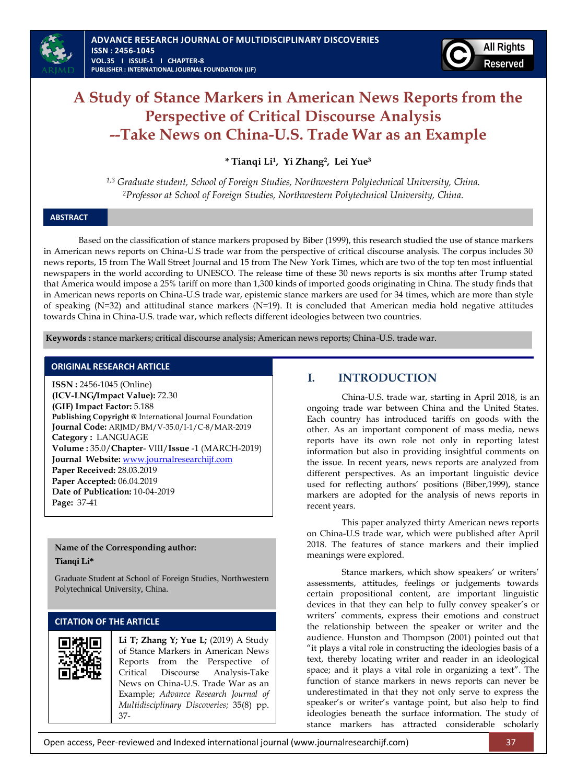

# **A Study of Stance Markers in American News Reports from the Perspective of Critical Discourse Analysis --Take News on China-U.S. Trade War as an Example**

**\* Tianqi Li<sup>1</sup> , Yi Zhang<sup>2</sup> , Lei Yue<sup>3</sup>**

*1,3 Graduate student, School of Foreign Studies, Northwestern Polytechnical University, China. <sup>2</sup>Professor at School of Foreign Studies, Northwestern Polytechnical University, China.*

# **ABSTRACT**

Based on the classification of stance markers proposed by Biber (1999), this research studied the use of stance markers in American news reports on China-U.S trade war from the perspective of critical discourse analysis. The corpus includes 30 news reports, 15 from The Wall Street Journal and 15 from The New York Times, which are two of the top ten most influential newspapers in the world according to UNESCO. The release time of these 30 news reports is six months after Trump stated that America would impose a 25% tariff on more than 1,300 kinds of imported goods originating in China. The study finds that in American news reports on China-U.S trade war, epistemic stance markers are used for 34 times, which are more than style of speaking (N=32) and attitudinal stance markers (N=19). It is concluded that American media hold negative attitudes towards China in China-U.S. trade war, which reflects different ideologies between two countries.

**Keywords :** stance markers; critical discourse analysis; American news reports; China-U.S. trade war.

# **ORIGINAL RESEARCH ARTICLE**

**ISSN :** 2456-1045 (Online) **(ICV-LNG/Impact Value):** 72.30 **(GIF) Impact Factor:** 5.188 **Publishing Copyright @** International Journal Foundation **Journal Code:** ARJMD/BM/V-35.0/I-1/C-8/MAR-2019 **Category :** LANGUAGE **Volume :** 35.0/**Chapter**- VIII/**Issue** -1 (MARCH-2019) **Journal Website:** [www.journalresearchijf.com](http://www.journalresearchijf.com/) **Paper Received:** 28.03.2019 **Paper Accepted:** 06.04.2019 **Date of Publication:** 10-04-2019 **Page:** 37-41

# **Name of the Corresponding author:**

**Tianqi Li\***

Graduate Student at School of Foreign Studies, Northwestern Polytechnical University, China.

# **CITATION OF THE ARTICLE**

**Li T; Zhang Y; Yue L;** (2019) A Study of Stance Markers in American News Reports from the Perspective of Critical Discourse Analysis-Take News on China-U.S. Trade War as an Example; *Advance Research Journal of Multidisciplinary Discoveries;* 35(8) pp. 37-

# **I. INTRODUCTION**

China-U.S. trade war, starting in April 2018, is an ongoing trade war between China and the United States. Each country has introduced tariffs on goods with the other. As an important component of mass media, news reports have its own role not only in reporting latest information but also in providing insightful comments on the issue. In recent years, news reports are analyzed from different perspectives. As an important linguistic device used for reflecting authors' positions (Biber,1999), stance markers are adopted for the analysis of news reports in recent years.

This paper analyzed thirty American news reports on China-U.S trade war, which were published after April 2018. The features of stance markers and their implied meanings were explored.

Stance markers, which show speakers' or writers' assessments, attitudes, feelings or judgements towards certain propositional content, are important linguistic devices in that they can help to fully convey speaker's or writers' comments, express their emotions and construct the relationship between the speaker or writer and the audience. Hunston and Thompson (2001) pointed out that "it plays a vital role in constructing the ideologies basis of a text, thereby locating writer and reader in an ideological space; and it plays a vital role in organizing a text". The function of stance markers in news reports can never be underestimated in that they not only serve to express the speaker's or writer's vantage point, but also help to find ideologies beneath the surface information. The study of stance markers has attracted considerable scholarly

Open access, Peer-reviewed and Indexed international journal (www.journalresearchijf.com) 37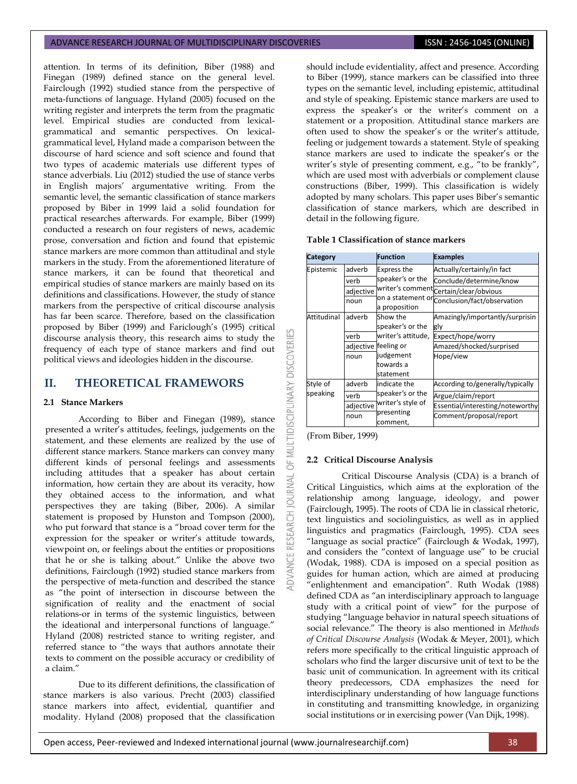attention. In terms of its definition, Biber (1988) and Finegan (1989) defined stance on the general level. Fairclough (1992) studied stance from the perspective of meta-functions of language. Hyland (2005) focused on the writing register and interprets the term from the pragmatic level. Empirical studies are conducted from lexicalgrammatical and semantic perspectives. On lexicalgrammatical level, Hyland made a comparison between the discourse of hard science and soft science and found that two types of academic materials use different types of stance adverbials. Liu (2012) studied the use of stance verbs in English majors' argumentative writing. From the semantic level, the semantic classification of stance markers proposed by Biber in 1999 laid a solid foundation for practical researches afterwards. For example, Biber (1999) conducted a research on four registers of news, academic prose, conversation and fiction and found that epistemic stance markers are more common than attitudinal and style markers in the study. From the aforementioned literature of stance markers, it can be found that theoretical and empirical studies of stance markers are mainly based on its definitions and classifications. However, the study of stance markers from the perspective of critical discourse analysis has far been scarce. Therefore, based on the classification proposed by Biber (1999) and Fariclough's (1995) critical discourse analysis theory, this research aims to study the frequency of each type of stance markers and find out political views and ideologies hidden in the discourse.

# **II. THEORETICAL FRAMEWORS**

# **2.1 Stance Markers**

According to Biber and Finegan (1989), stance presented a writer's attitudes, feelings, judgements on the statement, and these elements are realized by the use of different stance markers. Stance markers can convey many different kinds of personal feelings and assessments including attitudes that a speaker has about certain information, how certain they are about its veracity, how they obtained access to the information, and what perspectives they are taking (Biber, 2006). A similar statement is proposed by Hunston and Tompson (2000), who put forward that stance is a "broad cover term for the expression for the speaker or writer's attitude towards, viewpoint on, or feelings about the entities or propositions that he or she is talking about." Unlike the above two definitions, Fairclough (1992) studied stance markers from the perspective of meta-function and described the stance as "the point of intersection in discourse between the signification of reality and the enactment of social relations-or in terms of the systemic linguistics, between the ideational and interpersonal functions of language." Hyland (2008) restricted stance to writing register, and referred stance to "the ways that authors annotate their texts to comment on the possible accuracy or credibility of a claim."

Due to its different definitions, the classification of stance markers is also various. Precht (2003) classified stance markers into affect, evidential, quantifier and modality. Hyland (2008) proposed that the classification should include evidentiality, affect and presence. According to Biber (1999), stance markers can be classified into three types on the semantic level, including epistemic, attitudinal and style of speaking. Epistemic stance markers are used to express the speaker's or the writer's comment on a statement or a proposition. Attitudinal stance markers are often used to show the speaker's or the writer's attitude, feeling or judgement towards a statement. Style of speaking stance markers are used to indicate the speaker's or the writer's style of presenting comment, e.g., "to be frankly", which are used most with adverbials or complement clause constructions (Biber, 1999). This classification is widely adopted by many scholars. This paper uses Biber's semantic classification of stance markers, which are described in detail in the following figure.

#### **Table 1 Classification of stance markers**

| Category             |                                     | <b>Function</b>                                                                                         | <b>Examples</b>                                                                                                       |  |
|----------------------|-------------------------------------|---------------------------------------------------------------------------------------------------------|-----------------------------------------------------------------------------------------------------------------------|--|
| Epistemic            | adverb                              | <b>Express the</b><br>speaker's or the<br>a proposition                                                 | Actually/certainly/in fact                                                                                            |  |
|                      | verb<br>adjective<br>noun           |                                                                                                         | Conclude/determine/know<br>writer's comment Certain/clear/obvious<br>on a statement or conclusion/fact/observation    |  |
| Attitudinal          | adverb<br>verb<br>adjective<br>noun | Show the<br>speaker's or the<br>writer's attitude,<br>feeling or<br>judgement<br>towards a<br>statement | Amazingly/importantly/surprisin<br>gly<br>Expect/hope/worry<br>Amazed/shocked/surprised<br>Hope/view                  |  |
| Style of<br>speaking | adverb<br>verb<br>adjective<br>noun | indicate the<br>speaker's or the<br>writer's style of<br>presenting<br>comment,                         | According to/generally/typically<br>Argue/claim/report<br>Essential/interesting/noteworthy<br>Comment/proposal/report |  |

(From Biber, 1999)

LTIDISCIPLINARY DISCOVERI

RNAL jo

#### **2.2 Critical Discourse Analysis**

Critical Discourse Analysis (CDA) is a branch of Critical Linguistics, which aims at the exploration of the relationship among language, ideology, and power (Fairclough, 1995). The roots of CDA lie in classical rhetoric, text linguistics and sociolinguistics, as well as in applied linguistics and pragmatics (Fairclough, 1995). CDA sees "language as social practice" (Fairclough & Wodak, 1997), and considers the "context of language use" to be crucial (Wodak, 1988). CDA is imposed on a special position as guides for human action, which are aimed at producing "enlightenment and emancipation". Ruth Wodak (1988) defined CDA as "an interdisciplinary approach to language study with a critical point of view" for the purpose of studying "language behavior in natural speech situations of social relevance." The theory is also mentioned in *Methods of Critical Discourse Analysis* (Wodak & Meyer, 2001), which refers more specifically to the critical linguistic approach of scholars who find the larger discursive unit of text to be the basic unit of communication. In agreement with its critical theory predecessors, CDA emphasizes the need for interdisciplinary understanding of how language functions in constituting and transmitting knowledge, in organizing social institutions or in exercising power (Van Dijk, 1998).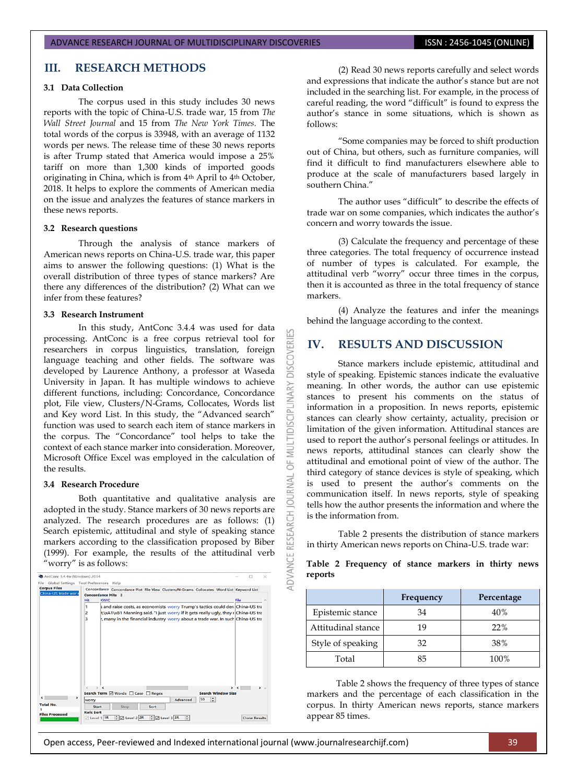# **III. RESEARCH METHODS**

# **3.1 Data Collection**

The corpus used in this study includes 30 news reports with the topic of China-U.S. trade war, 15 from *The Wall Street Journal* and 15 from *The New York Times.* The total words of the corpus is 33948, with an average of 1132 words per news. The release time of these 30 news reports is after Trump stated that America would impose a 25% tariff on more than 1,300 kinds of imported goods originating in China, which is from 4th April to 4th October, 2018. It helps to explore the comments of American media on the issue and analyzes the features of stance markers in these news reports.

#### **3.2 Research questions**

Through the analysis of stance markers of American news reports on China-U.S. trade war, this paper aims to answer the following questions: (1) What is the overall distribution of three types of stance markers? Are there any differences of the distribution? (2) What can we infer from these features?

#### **3.3 Research Instrument**

In this study, AntConc 3.4.4 was used for data processing. AntConc is a free corpus retrieval tool for researchers in corpus linguistics, translation, foreign language teaching and other fields. The software was developed by Laurence Anthony, a professor at Waseda University in Japan. It has multiple windows to achieve different functions, including: Concordance, Concordance plot, File view, Clusters/N-Grams, Collocates, Words list and Key word List. In this study, the "Advanced search" function was used to search each item of stance markers in the corpus. The "Concordance" tool helps to take the context of each stance marker into consideration. Moreover, Microsoft Office Excel was employed in the calculation of the results.

#### **3.4 Research Procedure**

Both quantitative and qualitative analysis are adopted in the study. Stance markers of 30 news reports are analyzed. The research procedures are as follows: (1) Search epistemic, attitudinal and style of speaking stance markers according to the classification proposed by Biber (1999). For example, the results of the attitudinal verb "worry" is as follows:

| China-US trade war r<br><b>Concordance Hits</b> 3<br>Hit<br><b>KWIC</b><br>s and raise costs, as economists worry Trump's tactics could deri China-US tra<br>1<br>t,\xA1\xB1 Manning said. "I just worry if it gets really ugly, they r China-US tra<br>2 | File                           |
|-----------------------------------------------------------------------------------------------------------------------------------------------------------------------------------------------------------------------------------------------------------|--------------------------------|
|                                                                                                                                                                                                                                                           |                                |
|                                                                                                                                                                                                                                                           |                                |
|                                                                                                                                                                                                                                                           |                                |
|                                                                                                                                                                                                                                                           |                                |
| r, many in the financial industry worry about a trade war. In such China-US tra<br>з                                                                                                                                                                      |                                |
|                                                                                                                                                                                                                                                           |                                |
| $\epsilon$<br>$\rightarrow$ $\epsilon$                                                                                                                                                                                                                    | $\sim$<br>$\rightarrow$ $\sim$ |
| Search Term Ø Words □ Case □ Regex<br>>                                                                                                                                                                                                                   | <b>Search Window Size</b>      |
| 50<br>Advanced<br>worry                                                                                                                                                                                                                                   | 띎                              |
|                                                                                                                                                                                                                                                           |                                |
| <b>Total No.</b><br>Start<br>Sort<br>Stop                                                                                                                                                                                                                 |                                |

(2) Read 30 news reports carefully and select words and expressions that indicate the author's stance but are not included in the searching list. For example, in the process of careful reading, the word "difficult" is found to express the author's stance in some situations, which is shown as follows:

"Some companies may be forced to shift production out of China, but others, such as furniture companies, will find it difficult to find manufacturers elsewhere able to produce at the scale of manufacturers based largely in southern China."

The author uses "difficult" to describe the effects of trade war on some companies, which indicates the author's concern and worry towards the issue.

(3) Calculate the frequency and percentage of these three categories. The total frequency of occurrence instead of number of types is calculated. For example, the attitudinal verb "worry" occur three times in the corpus, then it is accounted as three in the total frequency of stance markers.

(4) Analyze the features and infer the meanings behind the language according to the context.

# **IV. RESULTS AND DISCUSSION**

53

**DISCOVERI** 

**IDISCIPL** 

MULTI 5

**JRNAL** jon

ADVANCE RESEARCH

Stance markers include epistemic, attitudinal and style of speaking. Epistemic stances indicate the evaluative meaning. In other words, the author can use epistemic stances to present his comments on the status of information in a proposition. In news reports, epistemic stances can clearly show certainty, actuality, precision or limitation of the given information. Attitudinal stances are used to report the author's personal feelings or attitudes. In news reports, attitudinal stances can clearly show the attitudinal and emotional point of view of the author. The third category of stance devices is style of speaking, which is used to present the author's comments on the communication itself. In news reports, style of speaking tells how the author presents the information and where the is the information from.

Table 2 presents the distribution of stance markers in thirty American news reports on China-U.S. trade war:

**Table 2 Frequency of stance markers in thirty news reports**

|                    | Frequency | Percentage |
|--------------------|-----------|------------|
| Epistemic stance   | 34        | 40%        |
| Attitudinal stance | 19        | 22%        |
| Style of speaking  | 32        | 38%        |
| Total              | 85        | 100%       |

Table 2 shows the frequency of three types of stance markers and the percentage of each classification in the corpus. In thirty American news reports, stance markers appear 85 times.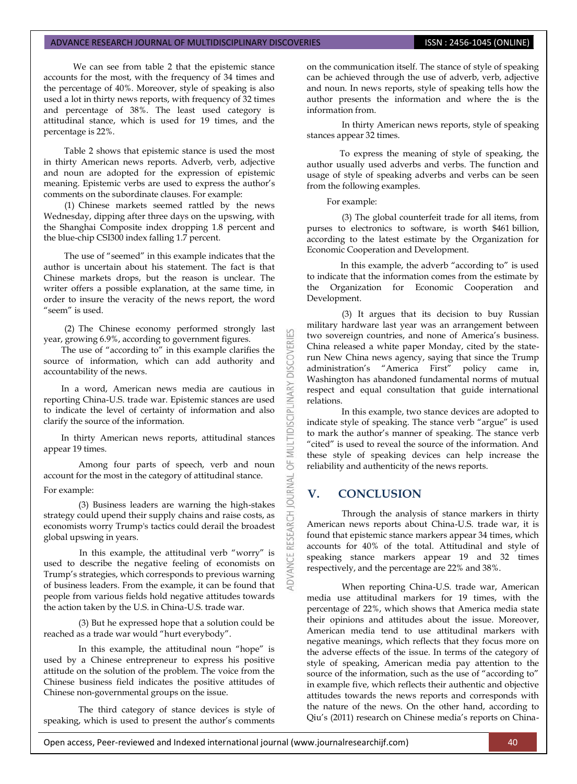We can see from table 2 that the epistemic stance accounts for the most, with the frequency of 34 times and the percentage of 40%. Moreover, style of speaking is also used a lot in thirty news reports, with frequency of 32 times and percentage of 38%. The least used category is attitudinal stance, which is used for 19 times, and the percentage is 22%.

Table 2 shows that epistemic stance is used the most in thirty American news reports. Adverb, verb, adjective and noun are adopted for the expression of epistemic meaning. Epistemic verbs are used to express the author's comments on the subordinate clauses. For example:

(1) Chinese markets seemed rattled by the news Wednesday, dipping after three days on the upswing, with the Shanghai Composite index dropping 1.8 percent and the blue-chip CSI300 index falling 1.7 percent.

The use of "seemed" in this example indicates that the author is uncertain about his statement. The fact is that Chinese markets drops, but the reason is unclear. The writer offers a possible explanation, at the same time, in order to insure the veracity of the news report, the word "seem" is used.

(2) The Chinese economy performed strongly last year, growing 6.9%, according to government figures.

The use of "according to" in this example clarifies the source of information, which can add authority and accountability of the news.

In a word, American news media are cautious in reporting China-U.S. trade war. Epistemic stances are used to indicate the level of certainty of information and also clarify the source of the information.

In thirty American news reports, attitudinal stances appear 19 times.

Among four parts of speech, verb and noun account for the most in the category of attitudinal stance. For example:

(3) Business leaders are warning the high-stakes strategy could upend their supply chains and raise costs, as economists worry Trump's tactics could derail the broadest global upswing in years.

 In this example, the attitudinal verb "worry" is used to describe the negative feeling of economists on Trump's strategies, which corresponds to previous warning of business leaders. From the example, it can be found that people from various fields hold negative attitudes towards the action taken by the U.S. in China-U.S. trade war.

(3) But he expressed hope that a solution could be reached as a trade war would "hurt everybody".

In this example, the attitudinal noun "hope" is used by a Chinese entrepreneur to express his positive attitude on the solution of the problem. The voice from the Chinese business field indicates the positive attitudes of Chinese non-governmental groups on the issue.

The third category of stance devices is style of speaking, which is used to present the author's comments

on the communication itself. The stance of style of speaking can be achieved through the use of adverb, verb, adjective and noun. In news reports, style of speaking tells how the author presents the information and where the is the information from.

In thirty American news reports, style of speaking stances appear 32 times.

 To express the meaning of style of speaking, the author usually used adverbs and verbs. The function and usage of style of speaking adverbs and verbs can be seen from the following examples.

For example:

**DISCOVERI** 

INARY

**IDISCIPLI** 

5

**JAWAL** 

RESEARCH

(3) The global counterfeit trade for all items, from purses to electronics to software, is worth \$461 billion, according to the latest estimate by the Organization for Economic Cooperation and Development.

 In this example, the adverb "according to" is used to indicate that the information comes from the estimate by the Organization for Economic Cooperation and Development.

(3) It argues that its decision to buy Russian military hardware last year was an arrangement between two sovereign countries, and none of America's business. China released a white paper Monday, cited by the staterun New China news agency, saying that since the Trump administration's "America First" policy came in, Washington has abandoned fundamental norms of mutual respect and equal consultation that guide international relations.

In this example, two stance devices are adopted to indicate style of speaking. The stance verb "argue" is used to mark the author's manner of speaking. The stance verb "cited" is used to reveal the source of the information. And these style of speaking devices can help increase the reliability and authenticity of the news reports.

# **V. CONCLUSION**

Through the analysis of stance markers in thirty American news reports about China-U.S. trade war, it is found that epistemic stance markers appear 34 times, which accounts for 40% of the total. Attitudinal and style of speaking stance markers appear 19 and 32 times respectively, and the percentage are 22% and 38%.

When reporting China-U.S. trade war, American media use attitudinal markers for 19 times, with the percentage of 22%, which shows that America media state their opinions and attitudes about the issue. Moreover, American media tend to use attitudinal markers with negative meanings, which reflects that they focus more on the adverse effects of the issue. In terms of the category of style of speaking, American media pay attention to the source of the information, such as the use of "according to" in example five, which reflects their authentic and objective attitudes towards the news reports and corresponds with the nature of the news. On the other hand, according to Qiu's (2011) research on Chinese media's reports on China-

Open access, Peer-reviewed and Indexed international journal (www.journalresearchijf.com) 40